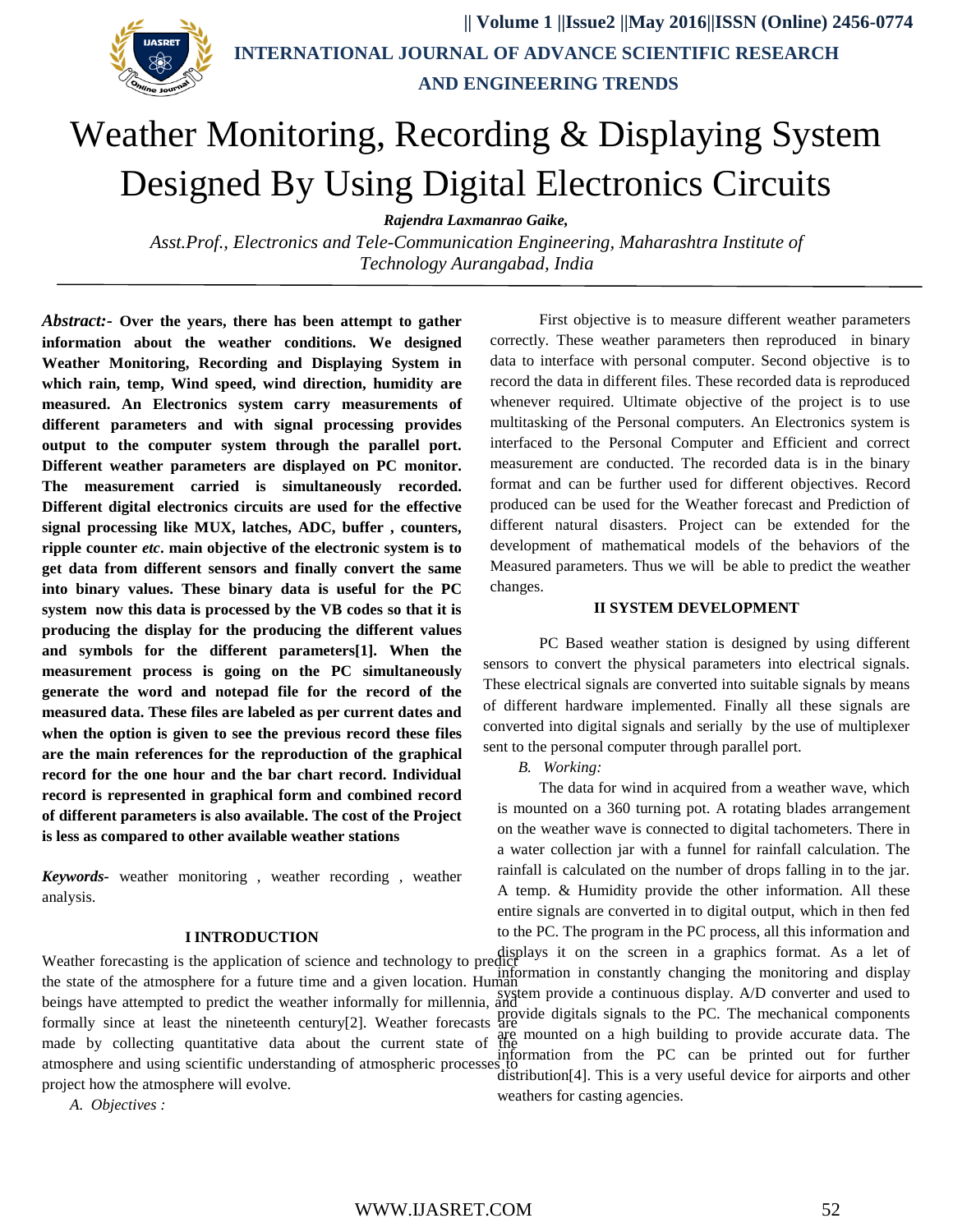

# Weather Monitoring, Recording & Displaying System Designed By Using Digital Electronics Circuits

*Rajendra Laxmanrao Gaike,* 

*Asst.Prof., Electronics and Tele-Communication Engineering, Maharashtra Institute of Technology Aurangabad, India*

*Abstract:-* **Over the years, there has been attempt to gather information about the weather conditions. We designed Weather Monitoring, Recording and Displaying System in which rain, temp, Wind speed, wind direction, humidity are measured. An Electronics system carry measurements of different parameters and with signal processing provides output to the computer system through the parallel port. Different weather parameters are displayed on PC monitor. The measurement carried is simultaneously recorded. Different digital electronics circuits are used for the effective signal processing like MUX, latches, ADC, buffer , counters, ripple counter** *etc***. main objective of the electronic system is to get data from different sensors and finally convert the same into binary values. These binary data is useful for the PC system now this data is processed by the VB codes so that it is producing the display for the producing the different values and symbols for the different parameters[1]. When the measurement process is going on the PC simultaneously generate the word and notepad file for the record of the measured data. These files are labeled as per current dates and when the option is given to see the previous record these files are the main references for the reproduction of the graphical record for the one hour and the bar chart record. Individual record is represented in graphical form and combined record of different parameters is also available. The cost of the Project is less as compared to other available weather stations**

*Keywords-* weather monitoring , weather recording , weather analysis.

# **I INTRODUCTION**

the state of the [atmosphere](../../../tmp/wiki/Earth) for a future time and a given location. Human in constantly changing the monitoring and display the state of the atmosphere for a future time and a given location. Human beings have attempted to predict the weather informally for millennia, and system provide a continuous display. A/D converter and used to beings have attempted to predict the weather informally for millennia, and formally since at least the nineteenth century[2]. Weather forecasts are provide digitals signals to the PC. The mechanical components made by collecting quantitative [data](../../../tmp/wiki/Data) about the current state of atmosphere and using [scientific understanding of atmospheric processes](../../../tmp/wiki/Meteorology) to information from the PC can be printed out for further project how the atmosphere will evolve.

*A. Objectives :*

First objective is to measure different weather parameters correctly. These weather parameters then reproduced in binary data to interface with personal computer. Second objective is to record the data in different files. These recorded data is reproduced whenever required. Ultimate objective of the project is to use multitasking of the Personal computers. An Electronics system is interfaced to the Personal Computer and Efficient and correct measurement are conducted. The recorded data is in the binary format and can be further used for different objectives. Record produced can be used for the Weather forecast and Prediction of different natural disasters. Project can be extended for the development of mathematical models of the behaviors of the Measured parameters. Thus we will be able to predict the weather changes.

#### **II SYSTEM DEVELOPMENT**

PC Based weather station is designed by using different sensors to convert the physical parameters into electrical signals. These electrical signals are converted into suitable signals by means of different hardware implemented. Finally all these signals are converted into digital signals and serially by the use of multiplexer sent to the personal computer through parallel port.

*B. Working:*

Weather forecasting is the application of science and technology to predict the screen in a graphics format. As a let of The data for wind in acquired from a weather wave, which is mounted on a 360 turning pot. A rotating blades arrangement on the weather wave is connected to digital tachometers. There in a water collection jar with a funnel for rainfall calculation. The rainfall is calculated on the number of drops falling in to the jar. A temp. & Humidity provide the other information. All these entire signals are converted in to digital output, which in then fed to the PC. The program in the PC process, all this information and are mounted on a high building to provide accurate data. The distribution<sup>[4]</sup>. This is a very useful device for airports and other weathers for casting agencies.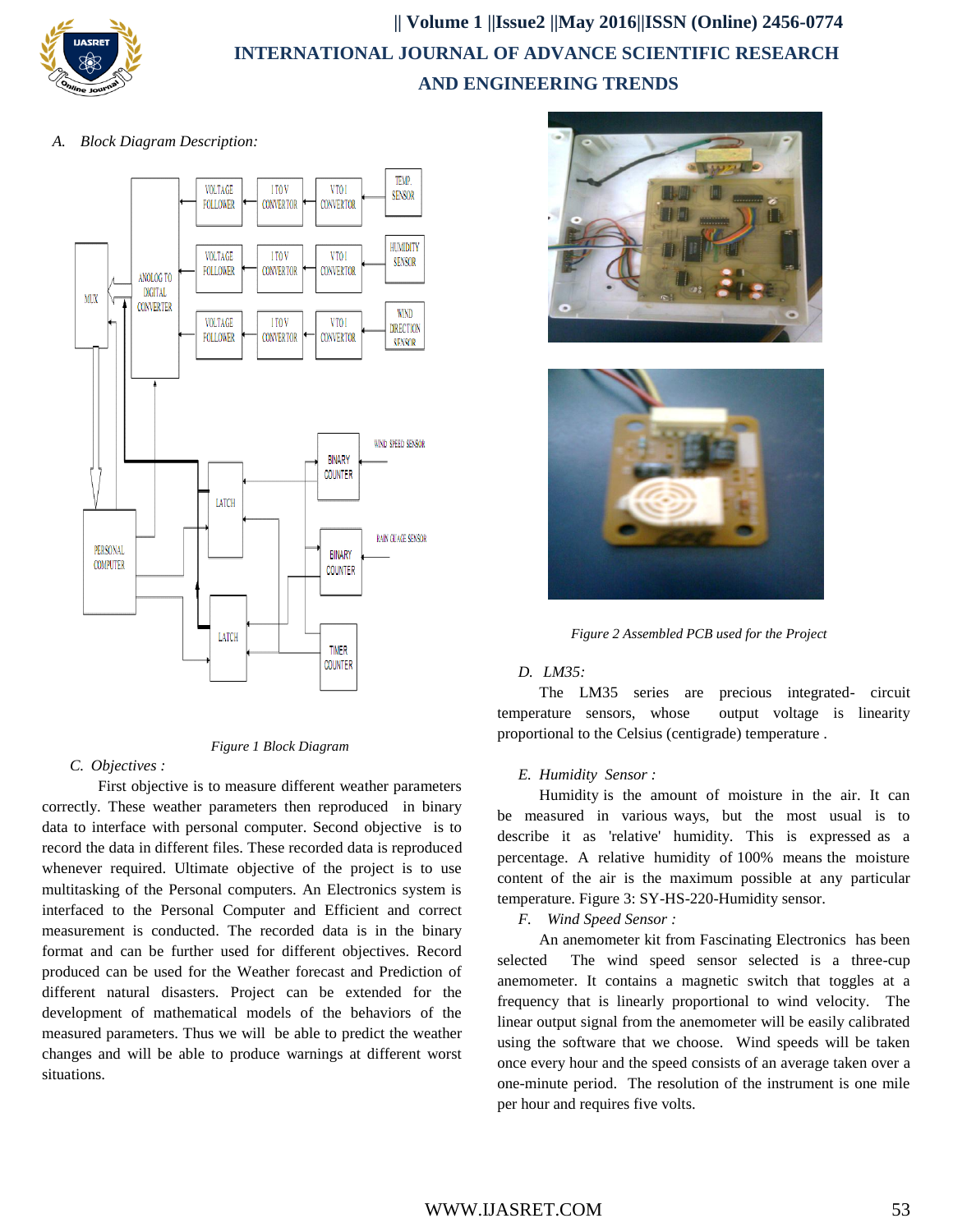

*A. Block Diagram Description:*



#### *Figure 1 Block Diagram*

#### *C. Objectives :*

First objective is to measure different weather parameters correctly. These weather parameters then reproduced in binary data to interface with personal computer. Second objective is to record the data in different files. These recorded data is reproduced whenever required. Ultimate objective of the project is to use multitasking of the Personal computers. An Electronics system is interfaced to the Personal Computer and Efficient and correct measurement is conducted. The recorded data is in the binary format and can be further used for different objectives. Record produced can be used for the Weather forecast and Prediction of different natural disasters. Project can be extended for the development of mathematical models of the behaviors of the measured parameters. Thus we will be able to predict the weather changes and will be able to produce warnings at different worst situations.





 *Figure 2 Assembled PCB used for the Project*

#### *D. LM35:*

The LM35 series are precious integrated- circuit temperature sensors, whose output voltage is linearity proportional to the Celsius (centigrade) temperature .

#### *E. Humidity Sensor :*

Humidity is the amount of moisture in the air. It can be measured in various ways, but the most usual is to describe it as 'relative' humidity. This is expressed as a percentage. A relative humidity of 100% means the moisture content of the air is the maximum possible at any particular temperature. Figure 3: SY-HS-220-Humidity sensor.

#### *F. Wind Speed Sensor :*

An anemometer kit from Fascinating Electronics has been selected The wind speed sensor selected is a three-cup anemometer. It contains a magnetic switch that toggles at a frequency that is linearly proportional to wind velocity. The linear output signal from the anemometer will be easily calibrated using the software that we choose. Wind speeds will be taken once every hour and the speed consists of an average taken over a one-minute period. The resolution of the instrument is one mile per hour and requires five volts.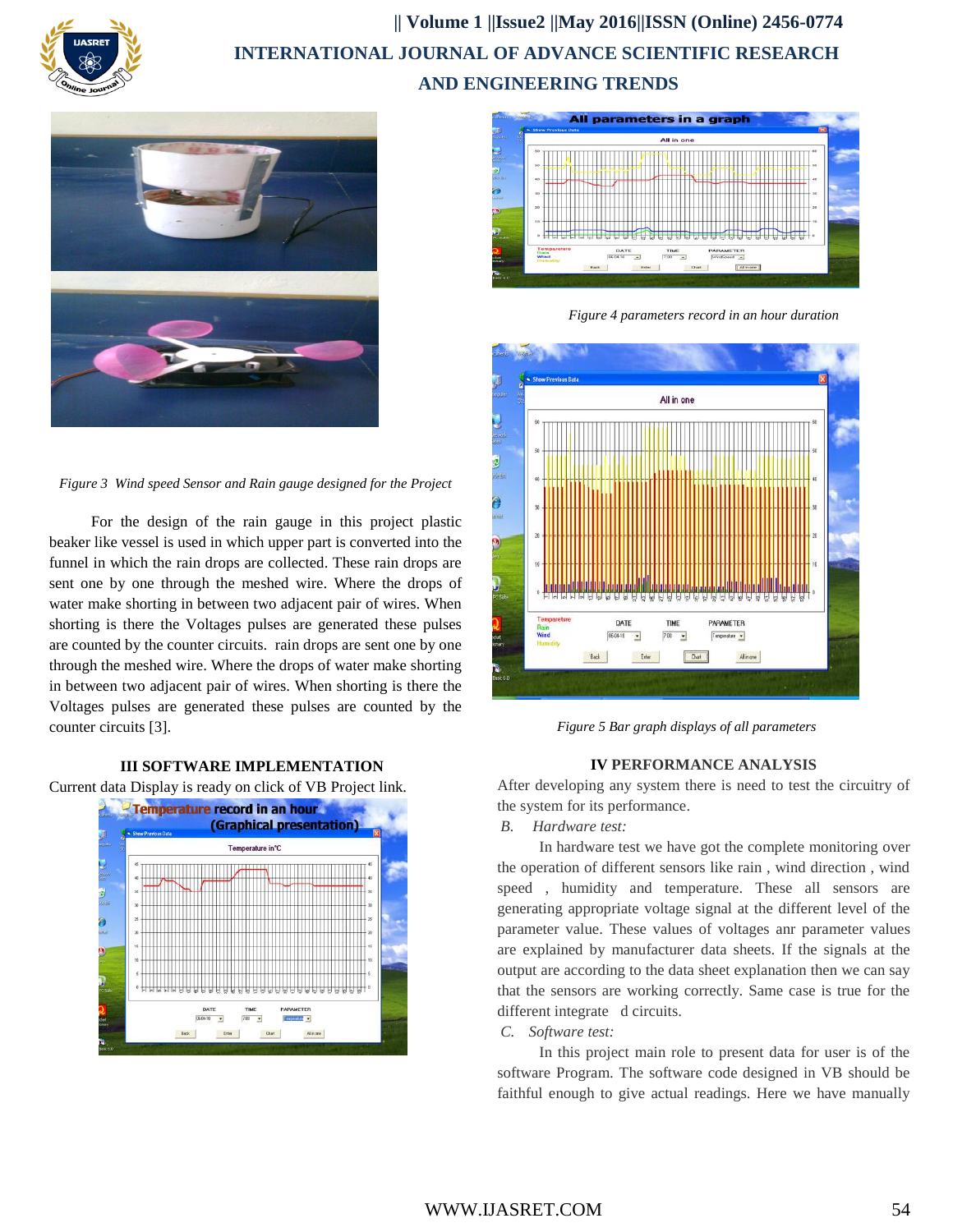





For the design of the rain gauge in this project plastic beaker like vessel is used in which upper part is converted into the funnel in which the rain drops are collected. These rain drops are sent one by one through the meshed wire. Where the drops of water make shorting in between two adjacent pair of wires. When shorting is there the Voltages pulses are generated these pulses are counted by the counter circuits. rain drops are sent one by one through the meshed wire. Where the drops of water make shorting in between two adjacent pair of wires. When shorting is there the Voltages pulses are generated these pulses are counted by the counter circuits [3].



*Figure 4 parameters record in an hour duration*



 *Figure 5 Bar graph displays of all parameters*

## **IV PERFORMANCE ANALYSIS**

After developing any system there is need to test the circuitry of the system for its performance.

## *B. Hardware test:*

In hardware test we have got the complete monitoring over the operation of different sensors like rain , wind direction , wind speed , humidity and temperature. These all sensors are generating appropriate voltage signal at the different level of the parameter value. These values of voltages anr parameter values are explained by manufacturer data sheets. If the signals at the output are according to the data sheet explanation then we can say that the sensors are working correctly. Same case is true for the different integrate d circuits.

#### *C. Software test:*

In this project main role to present data for user is of the software Program. The software code designed in VB should be faithful enough to give actual readings. Here we have manually

# **III SOFTWARE IMPLEMENTATION**

Current data Display is ready on click of VB Project link.

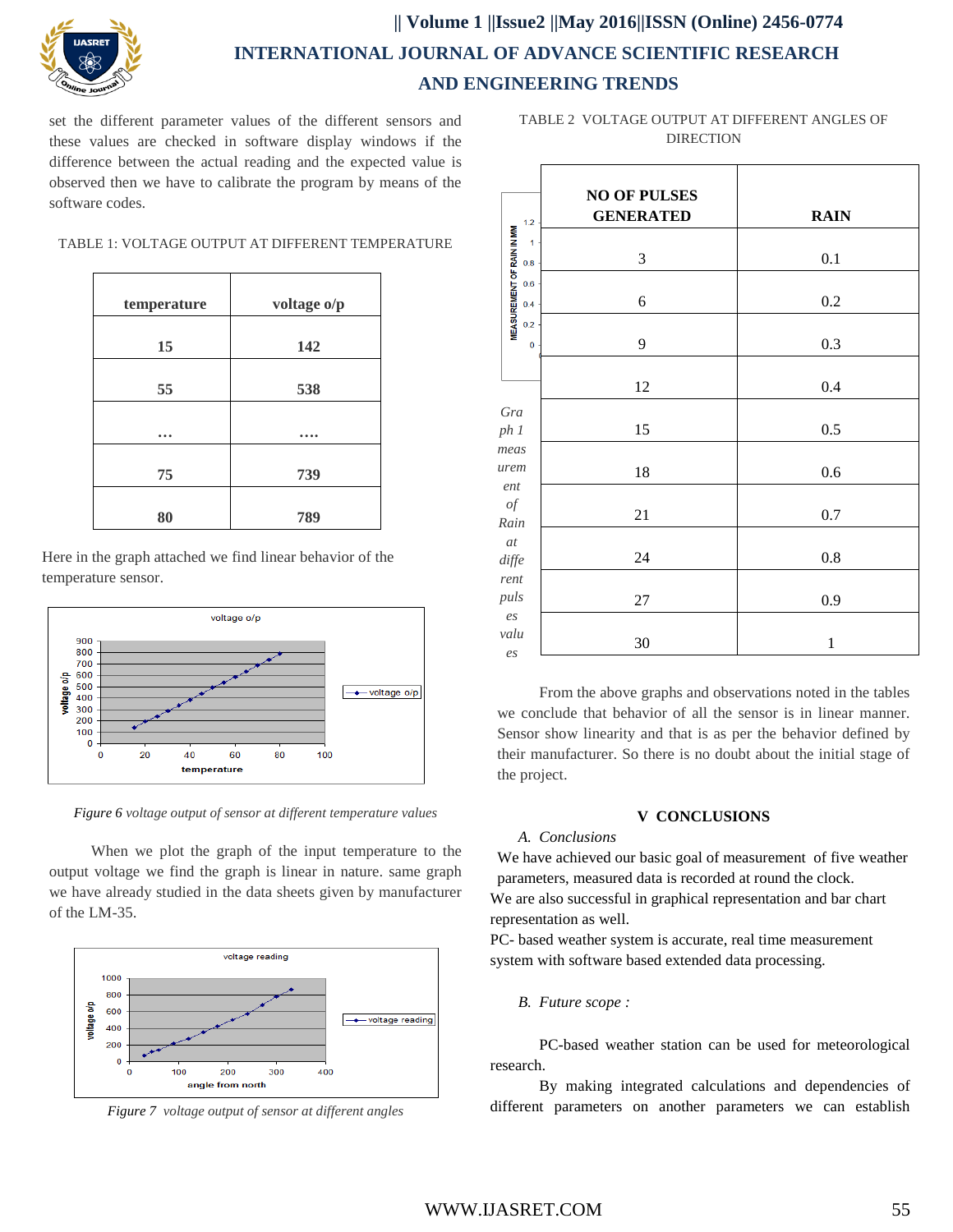

set the different parameter values of the different sensors and these values are checked in software display windows if the difference between the actual reading and the expected value is observed then we have to calibrate the program by means of the software codes.

#### TABLE 1: VOLTAGE OUTPUT AT DIFFERENT TEMPERATURE

| temperature | voltage o/p |
|-------------|-------------|
| 15          | 142         |
| 55          | 538         |
|             |             |
| 75          | 739         |
| 80          | 789         |

Here in the graph attached we find linear behavior of the temperature sensor.



*Figure 6 voltage output of sensor at different temperature values*

When we plot the graph of the input temperature to the output voltage we find the graph is linear in nature. same graph we have already studied in the data sheets given by manufacturer of the LM-35.



*Figure 7 voltage output of sensor at different angles*

|                  | TABLE 2  VOLTAGE OUTPUT AT DIFFERENT ANGLES OF |
|------------------|------------------------------------------------|
| <b>DIRECTION</b> |                                                |

| 1.2                                     | <b>NO OF PULSES</b><br><b>GENERATED</b> | <b>RAIN</b>  |
|-----------------------------------------|-----------------------------------------|--------------|
| $\mathbf{1}$<br>0.8                     | 3                                       | 0.1          |
| MEASUREMENT OF RAIN IN MM<br>0.6<br>0.4 | 6                                       | 0.2          |
| 0.2<br>$\mathbf 0$                      | 9                                       | 0.3          |
|                                         | 12                                      | 0.4          |
| Gra<br>ph 1                             | 15                                      | 0.5          |
| meas<br>urem<br>ent                     | 18                                      | 0.6          |
| of<br>Rain                              | 21                                      | 0.7          |
| $at\,$<br>diffe                         | 24                                      | $0.8\,$      |
| rent<br>puls<br>$\mathit{es}$           | 27                                      | 0.9          |
| valu<br>es                              | 30                                      | $\mathbf{1}$ |

From the above graphs and observations noted in the tables we conclude that behavior of all the sensor is in linear manner. Sensor show linearity and that is as per the behavior defined by their manufacturer. So there is no doubt about the initial stage of the project.

## **V CONCLUSIONS**

## *A. Conclusions*

We have achieved our basic goal of measurement of five weather parameters, measured data is recorded at round the clock. We are also successful in graphical representation and bar chart representation as well.

PC- based weather system is accurate, real time measurement system with software based extended data processing.

## *B. Future scope :*

PC-based weather station can be used for meteorological research.

By making integrated calculations and dependencies of different parameters on another parameters we can establish